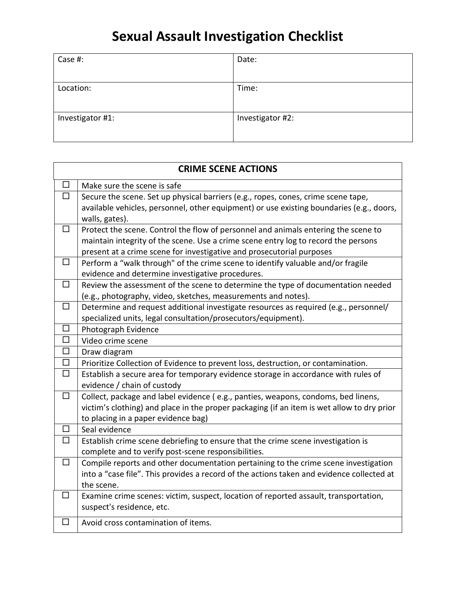| Case #:          | Date:            |
|------------------|------------------|
|                  |                  |
| Location:        | Time:            |
|                  |                  |
| Investigator #1: | Investigator #2: |
|                  |                  |

| <b>CRIME SCENE ACTIONS</b> |                                                                                                                                                                                                                                                   |
|----------------------------|---------------------------------------------------------------------------------------------------------------------------------------------------------------------------------------------------------------------------------------------------|
| $\Box$                     | Make sure the scene is safe                                                                                                                                                                                                                       |
| $\Box$                     | Secure the scene. Set up physical barriers (e.g., ropes, cones, crime scene tape,<br>available vehicles, personnel, other equipment) or use existing boundaries (e.g., doors,<br>walls, gates).                                                   |
| $\Box$                     | Protect the scene. Control the flow of personnel and animals entering the scene to<br>maintain integrity of the scene. Use a crime scene entry log to record the persons<br>present at a crime scene for investigative and prosecutorial purposes |
| □                          | Perform a "walk through" of the crime scene to identify valuable and/or fragile<br>evidence and determine investigative procedures.                                                                                                               |
| $\Box$                     | Review the assessment of the scene to determine the type of documentation needed<br>(e.g., photography, video, sketches, measurements and notes).                                                                                                 |
| $\Box$                     | Determine and request additional investigate resources as required (e.g., personnel/<br>specialized units, legal consultation/prosecutors/equipment).                                                                                             |
| □                          | Photograph Evidence                                                                                                                                                                                                                               |
| $\Box$                     | Video crime scene                                                                                                                                                                                                                                 |
| $\Box$                     | Draw diagram                                                                                                                                                                                                                                      |
| $\Box$                     | Prioritize Collection of Evidence to prevent loss, destruction, or contamination.                                                                                                                                                                 |
| $\Box$                     | Establish a secure area for temporary evidence storage in accordance with rules of<br>evidence / chain of custody                                                                                                                                 |
| $\Box$                     | Collect, package and label evidence (e.g., panties, weapons, condoms, bed linens,<br>victim's clothing) and place in the proper packaging (if an item is wet allow to dry prior<br>to placing in a paper evidence bag)                            |
| $\Box$                     | Seal evidence                                                                                                                                                                                                                                     |
| $\Box$                     | Establish crime scene debriefing to ensure that the crime scene investigation is<br>complete and to verify post-scene responsibilities.                                                                                                           |
| □                          | Compile reports and other documentation pertaining to the crime scene investigation<br>into a "case file". This provides a record of the actions taken and evidence collected at<br>the scene.                                                    |
| □                          | Examine crime scenes: victim, suspect, location of reported assault, transportation,<br>suspect's residence, etc.                                                                                                                                 |
| ⊔                          | Avoid cross contamination of items.                                                                                                                                                                                                               |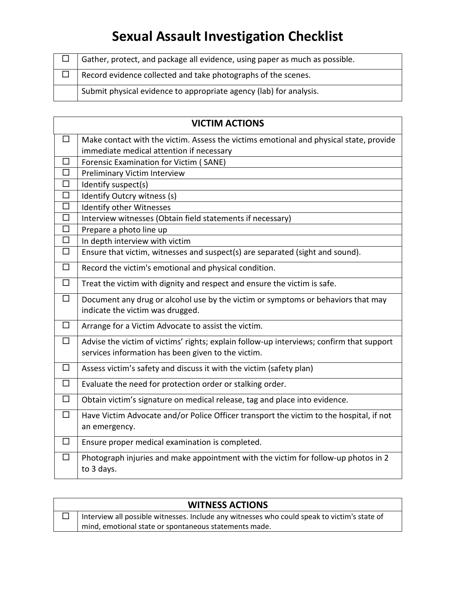| Gather, protect, and package all evidence, using paper as much as possible. |
|-----------------------------------------------------------------------------|
| Record evidence collected and take photographs of the scenes.               |
| Submit physical evidence to appropriate agency (lab) for analysis.          |

|        | <b>VICTIM ACTIONS</b>                                                                                                                          |  |
|--------|------------------------------------------------------------------------------------------------------------------------------------------------|--|
| □      | Make contact with the victim. Assess the victims emotional and physical state, provide                                                         |  |
|        | immediate medical attention if necessary                                                                                                       |  |
| $\Box$ | Forensic Examination for Victim (SANE)                                                                                                         |  |
| $\Box$ | <b>Preliminary Victim Interview</b>                                                                                                            |  |
| □      | Identify suspect(s)                                                                                                                            |  |
| $\Box$ | Identify Outcry witness (s)                                                                                                                    |  |
| $\Box$ | Identify other Witnesses                                                                                                                       |  |
| □      | Interview witnesses (Obtain field statements if necessary)                                                                                     |  |
| $\Box$ | Prepare a photo line up                                                                                                                        |  |
| $\Box$ | In depth interview with victim                                                                                                                 |  |
| $\Box$ | Ensure that victim, witnesses and suspect(s) are separated (sight and sound).                                                                  |  |
| $\Box$ | Record the victim's emotional and physical condition.                                                                                          |  |
| $\Box$ | Treat the victim with dignity and respect and ensure the victim is safe.                                                                       |  |
| $\Box$ | Document any drug or alcohol use by the victim or symptoms or behaviors that may<br>indicate the victim was drugged.                           |  |
| $\Box$ | Arrange for a Victim Advocate to assist the victim.                                                                                            |  |
| $\Box$ | Advise the victim of victims' rights; explain follow-up interviews; confirm that support<br>services information has been given to the victim. |  |
| □      | Assess victim's safety and discuss it with the victim (safety plan)                                                                            |  |
| □      | Evaluate the need for protection order or stalking order.                                                                                      |  |
| □      | Obtain victim's signature on medical release, tag and place into evidence.                                                                     |  |
| $\Box$ | Have Victim Advocate and/or Police Officer transport the victim to the hospital, if not<br>an emergency.                                       |  |
| $\Box$ | Ensure proper medical examination is completed.                                                                                                |  |
| $\Box$ | Photograph injuries and make appointment with the victim for follow-up photos in 2<br>to 3 days.                                               |  |

| <b>WITNESS ACTIONS</b>                                                                       |  |
|----------------------------------------------------------------------------------------------|--|
| Interview all possible witnesses. Include any witnesses who could speak to victim's state of |  |
| mind, emotional state or spontaneous statements made.                                        |  |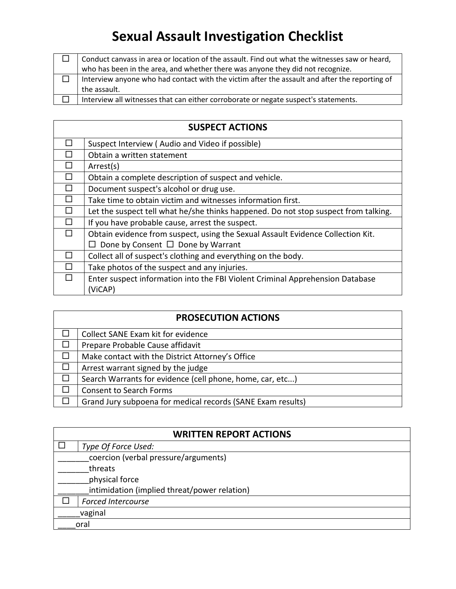| Conduct canvass in area or location of the assault. Find out what the witnesses saw or heard, |
|-----------------------------------------------------------------------------------------------|
| who has been in the area, and whether there was anyone they did not recognize.                |
| Interview anyone who had contact with the victim after the assault and after the reporting of |
| the assault.                                                                                  |
| Interview all witnesses that can either corroborate or negate suspect's statements.           |

| <b>SUSPECT ACTIONS</b> |                                                                                     |
|------------------------|-------------------------------------------------------------------------------------|
| $\Box$                 | Suspect Interview (Audio and Video if possible)                                     |
|                        | Obtain a written statement                                                          |
|                        | Arrest(s)                                                                           |
| П                      | Obtain a complete description of suspect and vehicle.                               |
|                        | Document suspect's alcohol or drug use.                                             |
|                        | Take time to obtain victim and witnesses information first.                         |
|                        | Let the suspect tell what he/she thinks happened. Do not stop suspect from talking. |
|                        | If you have probable cause, arrest the suspect.                                     |
| $\Box$                 | Obtain evidence from suspect, using the Sexual Assault Evidence Collection Kit.     |
|                        | $\Box$ Done by Consent $\Box$ Done by Warrant                                       |
|                        | Collect all of suspect's clothing and everything on the body.                       |
|                        | Take photos of the suspect and any injuries.                                        |
|                        | Enter suspect information into the FBI Violent Criminal Apprehension Database       |
|                        | (ViCAP)                                                                             |

|        | <b>PROSECUTION ACTIONS</b>                                  |  |
|--------|-------------------------------------------------------------|--|
|        | Collect SANE Exam kit for evidence                          |  |
|        | Prepare Probable Cause affidavit                            |  |
|        | Make contact with the District Attorney's Office            |  |
| $\Box$ | Arrest warrant signed by the judge                          |  |
|        | Search Warrants for evidence (cell phone, home, car, etc)   |  |
|        | Consent to Search Forms                                     |  |
|        | Grand Jury subpoena for medical records (SANE Exam results) |  |

| <b>WRITTEN REPORT ACTIONS</b>                |
|----------------------------------------------|
| Type Of Force Used:                          |
| coercion (verbal pressure/arguments)         |
| threats                                      |
| physical force                               |
| intimidation (implied threat/power relation) |
| Forced Intercourse                           |
| vaginal                                      |
| oral                                         |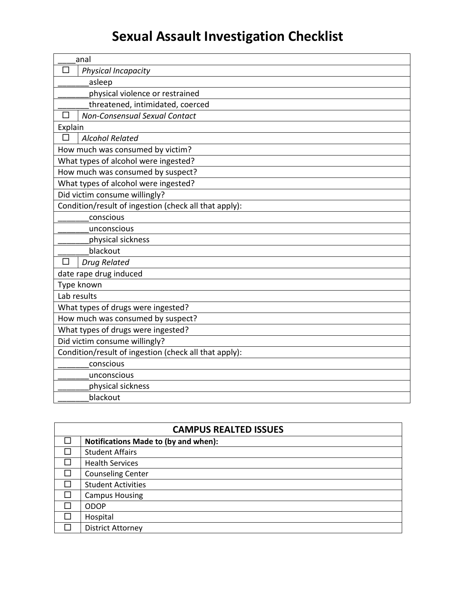| anal                                                  |
|-------------------------------------------------------|
| Physical Incapacity                                   |
| asleep                                                |
| physical violence or restrained                       |
| threatened, intimidated, coerced                      |
| Non-Consensual Sexual Contact<br>П                    |
| Explain                                               |
| <b>Alcohol Related</b>                                |
| How much was consumed by victim?                      |
| What types of alcohol were ingested?                  |
| How much was consumed by suspect?                     |
| What types of alcohol were ingested?                  |
| Did victim consume willingly?                         |
| Condition/result of ingestion (check all that apply): |
| conscious                                             |
| unconscious                                           |
| physical sickness                                     |
| blackout                                              |
| <b>Drug Related</b><br>ΙI                             |
| date rape drug induced                                |
| Type known                                            |
| Lab results                                           |
| What types of drugs were ingested?                    |
| How much was consumed by suspect?                     |
| What types of drugs were ingested?                    |
| Did victim consume willingly?                         |
| Condition/result of ingestion (check all that apply): |
| conscious                                             |
| unconscious                                           |
| physical sickness                                     |
| blackout                                              |

| <b>CAMPUS REALTED ISSUES</b> |                                             |
|------------------------------|---------------------------------------------|
|                              | <b>Notifications Made to (by and when):</b> |
|                              | <b>Student Affairs</b>                      |
|                              | <b>Health Services</b>                      |
|                              | <b>Counseling Center</b>                    |
|                              | <b>Student Activities</b>                   |
|                              | <b>Campus Housing</b>                       |
|                              | <b>ODOP</b>                                 |
|                              | Hospital                                    |
|                              | <b>District Attorney</b>                    |